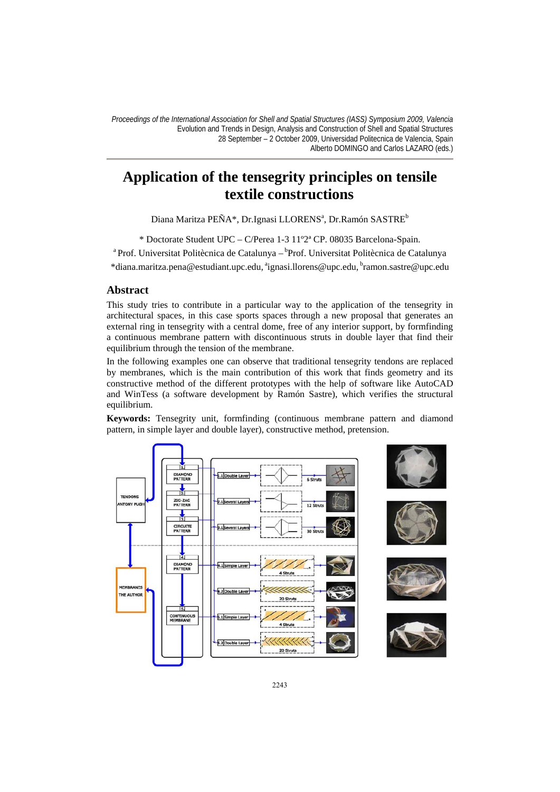# **Application of the tensegrity principles on tensile textile constructions**

Diana Maritza PE $\tilde{\text{N}}$ A\*, Dr.Ignasi LLORENSª, Dr.Ramón SASTRE $^{\text{b}}$ 

\* Doctorate Student UPC – C/Perea 1-3 11°2ª CP. 08035 Barcelona-Spain.<br><sup>a</sup> Prof. Universitat Politècnica de Catalunya – <sup>b</sup>Prof. Universitat Politècnica de Catalunya

\*diana.maritza.pena@estudiant.upc.edu, aignasi.llorens@upc.edu, bramon.sastre@upc.edu

### **Abstract**

This study tries to contribute in a particular way to the application of the tensegrity in architectural spaces, in this case sports spaces through a new proposal that generates an external ring in tensegrity with a central dome, free of any interior support, by formfinding a continuous membrane pattern with discontinuous struts in double layer that find their equilibrium through the tension of the membrane.

In the following examples one can observe that traditional tensegrity tendons are replaced by membranes, which is the main contribution of this work that finds geometry and its constructive method of the different prototypes with the help of software like AutoCAD and WinTess (a software development by Ramón Sastre), which verifies the structural equilibrium.

**Keywords:** Tensegrity unit, formfinding (continuous membrane pattern and diamond pattern, in simple layer and double layer), constructive method, pretension.

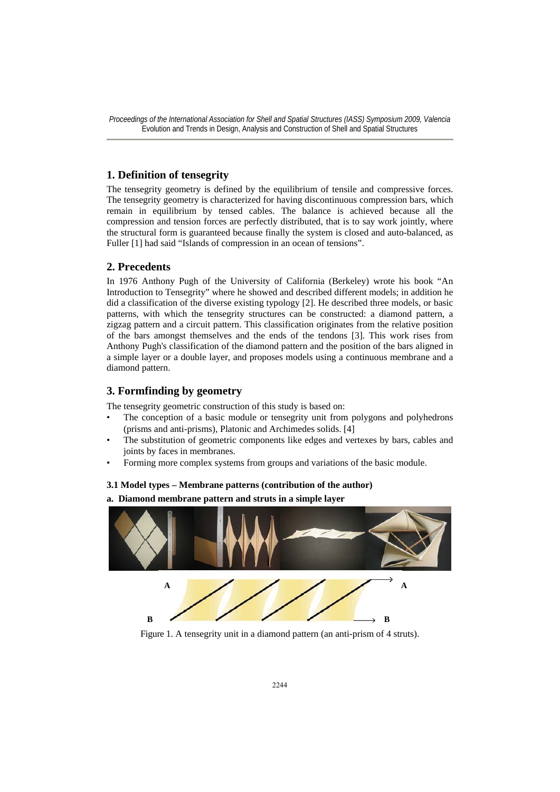# **1. Definition of tensegrity**

The tensegrity geometry is defined by the equilibrium of tensile and compressive forces. The tensegrity geometry is characterized for having discontinuous compression bars, which remain in equilibrium by tensed cables. The balance is achieved because all the compression and tension forces are perfectly distributed, that is to say work jointly, where the structural form is guaranteed because finally the system is closed and auto-balanced, as Fuller [1] had said "Islands of compression in an ocean of tensions".

### **2. Precedents**

In 1976 Anthony Pugh of the University of California (Berkeley) wrote his book "An Introduction to Tensegrity" where he showed and described different models; in addition he did a classification of the diverse existing typology [2]. He described three models, or basic patterns, with which the tensegrity structures can be constructed: a diamond pattern, a zigzag pattern and a circuit pattern. This classification originates from the relative position of the bars amongst themselves and the ends of the tendons [3]. This work rises from Anthony Pugh's classification of the diamond pattern and the position of the bars aligned in a simple layer or a double layer, and proposes models using a continuous membrane and a diamond pattern.

## **3. Formfinding by geometry**

The tensegrity geometric construction of this study is based on:

- The conception of a basic module or tensegrity unit from polygons and polyhedrons (prisms and anti-prisms), Platonic and Archimedes solids. [4]
- The substitution of geometric components like edges and vertexes by bars, cables and joints by faces in membranes.
- Forming more complex systems from groups and variations of the basic module.

#### **3.1 Model types – Membrane patterns (contribution of the author)**

**a. Diamond membrane pattern and struts in a simple layer** 



Figure 1. A tensegrity unit in a diamond pattern (an anti-prism of 4 struts).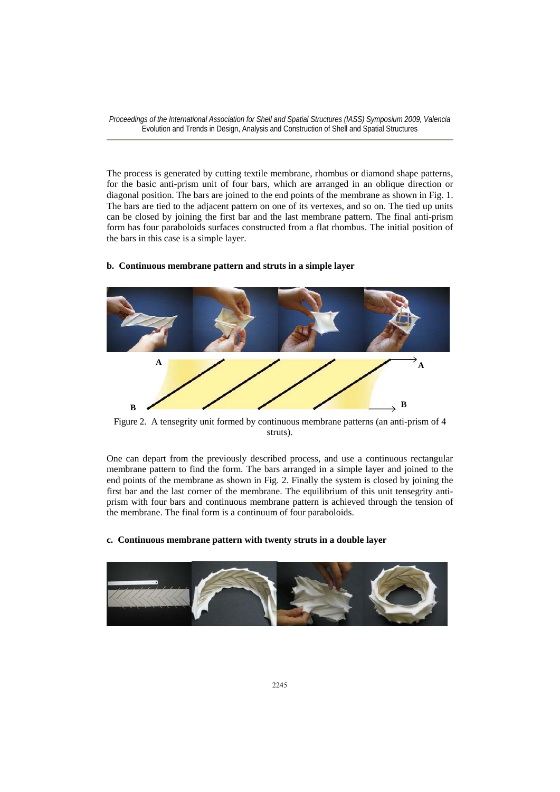The process is generated by cutting textile membrane, rhombus or diamond shape patterns, for the basic anti-prism unit of four bars, which are arranged in an oblique direction or diagonal position. The bars are joined to the end points of the membrane as shown in Fig. 1. The bars are tied to the adjacent pattern on one of its vertexes, and so on. The tied up units can be closed by joining the first bar and the last membrane pattern. The final anti-prism form has four paraboloids surfaces constructed from a flat rhombus. The initial position of the bars in this case is a simple layer.

#### **b. Continuous membrane pattern and struts in a simple layer**



Figure 2. A tensegrity unit formed by continuous membrane patterns (an anti-prism of 4 struts).

One can depart from the previously described process, and use a continuous rectangular membrane pattern to find the form. The bars arranged in a simple layer and joined to the end points of the membrane as shown in Fig. 2. Finally the system is closed by joining the first bar and the last corner of the membrane. The equilibrium of this unit tensegrity antiprism with four bars and continuous membrane pattern is achieved through the tension of the membrane. The final form is a continuum of four paraboloids.

#### **c. Continuous membrane pattern with twenty struts in a double layer**

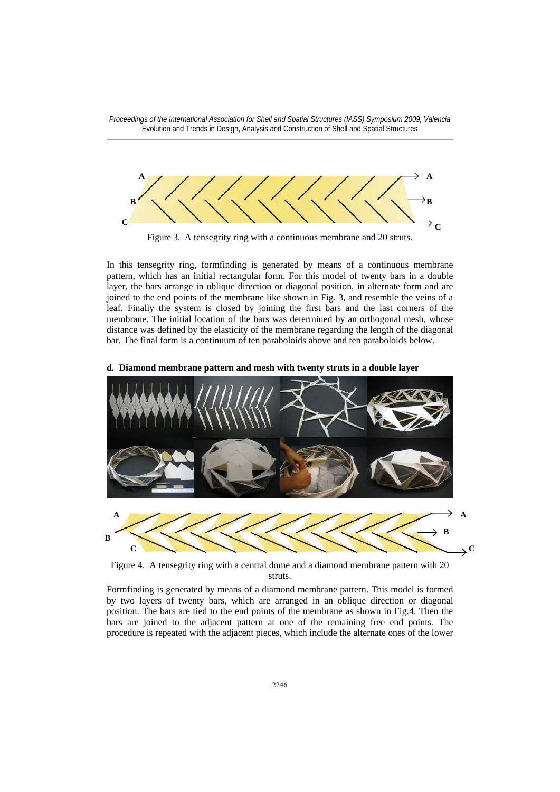

Figure 3. A tensegrity ring with a continuous membrane and 20 struts.

In this tensegrity ring, formfinding is generated by means of a continuous membrane pattern, which has an initial rectangular form. For this model of twenty bars in a double layer, the bars arrange in oblique direction or diagonal position, in alternate form and are joined to the end points of the membrane like shown in Fig. 3, and resemble the veins of a leaf. Finally the system is closed by joining the first bars and the last corners of the membrane. The initial location of the bars was determined by an orthogonal mesh, whose distance was defined by the elasticity of the membrane regarding the length of the diagonal bar. The final form is a continuum of ten paraboloids above and ten paraboloids below.



#### **d. Diamond membrane pattern and mesh with twenty struts in a double layer**

Figure 4.A tensegrity ring with a central dome and a diamond membrane pattern with 20 struts.

Formfinding is generated by means of a diamond membrane pattern. This model is formed by two layers of twenty bars, which are arranged in an oblique direction or diagonal position. The bars are tied to the end points of the membrane as shown in Fig.4. Then the bars are joined to the adjacent pattern at one of the remaining free end points. The procedure is repeated with the adjacent pieces, which include the alternate ones of the lower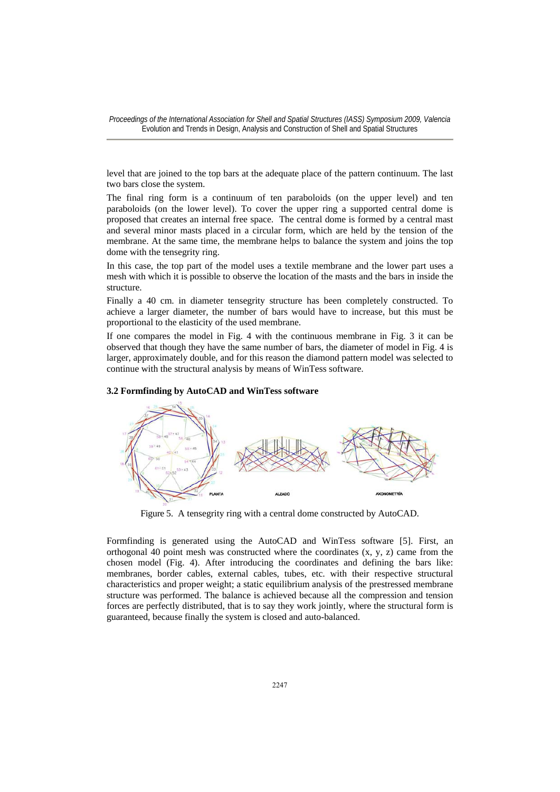level that are joined to the top bars at the adequate place of the pattern continuum. The last two bars close the system.

The final ring form is a continuum of ten paraboloids (on the upper level) and ten paraboloids (on the lower level). To cover the upper ring a supported central dome is proposed that creates an internal free space. The central dome is formed by a central mast and several minor masts placed in a circular form, which are held by the tension of the membrane. At the same time, the membrane helps to balance the system and joins the top dome with the tensegrity ring.

In this case, the top part of the model uses a textile membrane and the lower part uses a mesh with which it is possible to observe the location of the masts and the bars in inside the structure.

Finally a 40 cm. in diameter tensegrity structure has been completely constructed. To achieve a larger diameter, the number of bars would have to increase, but this must be proportional to the elasticity of the used membrane.

If one compares the model in Fig. 4 with the continuous membrane in Fig. 3 it can be observed that though they have the same number of bars, the diameter of model in Fig. 4 is larger, approximately double, and for this reason the diamond pattern model was selected to continue with the structural analysis by means of WinTess software.

#### **3.2 Formfinding by AutoCAD and WinTess software**



Figure 5. A tensegrity ring with a central dome constructed by AutoCAD.

Formfinding is generated using the AutoCAD and WinTess software [5]. First, an orthogonal 40 point mesh was constructed where the coordinates  $(x, y, z)$  came from the chosen model (Fig. 4). After introducing the coordinates and defining the bars like: membranes, border cables, external cables, tubes, etc. with their respective structural characteristics and proper weight; a static equilibrium analysis of the prestressed membrane structure was performed. The balance is achieved because all the compression and tension forces are perfectly distributed, that is to say they work jointly, where the structural form is guaranteed, because finally the system is closed and auto-balanced.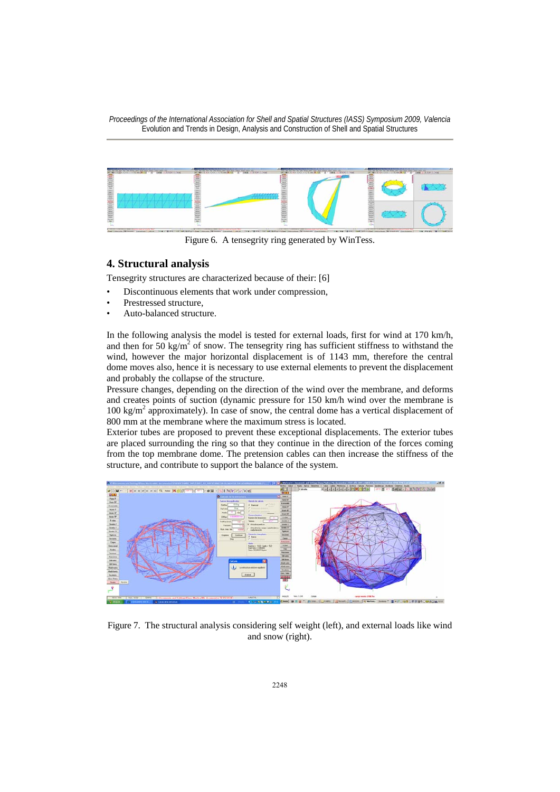

Figure 6. A tensegrity ring generated by WinTess.

# **4. Structural analysis**

Tensegrity structures are characterized because of their: [6]

- Discontinuous elements that work under compression,
- Prestressed structure.
- Auto-balanced structure.

In the following analysis the model is tested for external loads, first for wind at 170 km/h, and then for 50 kg/m<sup>2</sup> of snow. The tensegrity ring has sufficient stiffness to withstand the wind, however the major horizontal displacement is of 1143 mm, therefore the central dome moves also, hence it is necessary to use external elements to prevent the displacement and probably the collapse of the structure.

Pressure changes, depending on the direction of the wind over the membrane, and deforms and creates points of suction (dynamic pressure for 150 km/h wind over the membrane is 100 kg/m2 approximately). In case of snow, the central dome has a vertical displacement of 800 mm at the membrane where the maximum stress is located.

Exterior tubes are proposed to prevent these exceptional displacements. The exterior tubes are placed surrounding the ring so that they continue in the direction of the forces coming from the top membrane dome. The pretension cables can then increase the stiffness of the structure, and contribute to support the balance of the system.



Figure 7. The structural analysis considering self weight (left), and external loads like wind and snow (right).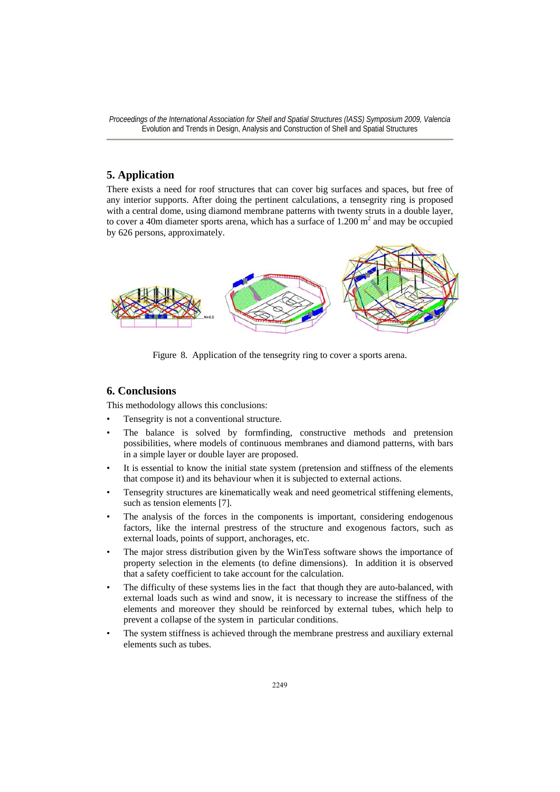# **5. Application**

There exists a need for roof structures that can cover big surfaces and spaces, but free of any interior supports. After doing the pertinent calculations, a tensegrity ring is proposed with a central dome, using diamond membrane patterns with twenty struts in a double layer, to cover a 40m diameter sports arena, which has a surface of  $1.200 \text{ m}^2$  and may be occupied by 626 persons, approximately.



Figure 8. Application of the tensegrity ring to cover a sports arena.

### **6. Conclusions**

This methodology allows this conclusions:

- Tensegrity is not a conventional structure.
- The balance is solved by formfinding, constructive methods and pretension possibilities, where models of continuous membranes and diamond patterns, with bars in a simple layer or double layer are proposed.
- It is essential to know the initial state system (pretension and stiffness of the elements that compose it) and its behaviour when it is subjected to external actions.
- Tensegrity structures are kinematically weak and need geometrical stiffening elements, such as tension elements [7].
- The analysis of the forces in the components is important, considering endogenous factors, like the internal prestress of the structure and exogenous factors, such as external loads, points of support, anchorages, etc.
- The major stress distribution given by the WinTess software shows the importance of property selection in the elements (to define dimensions). In addition it is observed that a safety coefficient to take account for the calculation.
- The difficulty of these systems lies in the fact that though they are auto-balanced, with external loads such as wind and snow, it is necessary to increase the stiffness of the elements and moreover they should be reinforced by external tubes, which help to prevent a collapse of the system in particular conditions.
- The system stiffness is achieved through the membrane prestress and auxiliary external elements such as tubes.